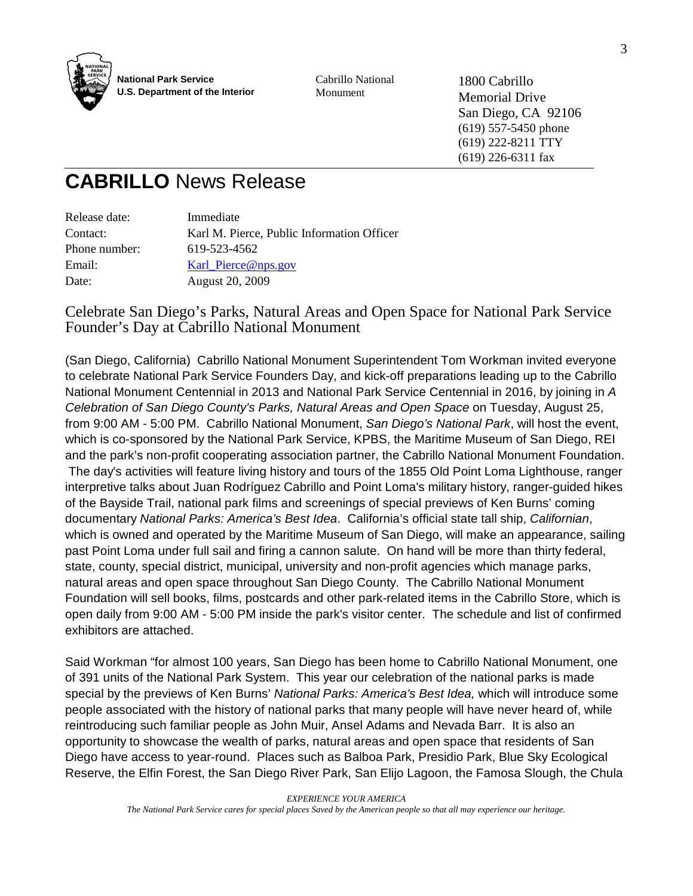

Cabrillo National Monument

1800 Cabrillo Memorial Drive San Diego, CA 92106 (619) 557-5450 phone (619) 222-8211 TTY (619) 226-6311 fax

## **CABRILLO** News Release

| Release date: | Immediate                                  |
|---------------|--------------------------------------------|
| Contact:      | Karl M. Pierce, Public Information Officer |
| Phone number: | 619-523-4562                               |
| Email:        | Karl_Pierce@nps.gov                        |
| Date:         | August 20, 2009                            |
|               |                                            |

## Celebrate San Diego's Parks, Natural Areas and Open Space for National Park Service Founder's Day at Cabrillo National Monument

(San Diego, California) Cabrillo National Monument Superintendent Tom Workman invited everyone to celebrate National Park Service Founders Day, and kick-off preparations leading up to the Cabrillo National Monument Centennial in 2013 and National Park Service Centennial in 2016, by joining in A Celebration of San Diego County's Parks, Natural Areas and Open Space on Tuesday, August 25, from 9:00 AM - 5:00 PM. Cabrillo National Monument, San Diego's National Park, will host the event, which is co-sponsored by the National Park Service, KPBS, the Maritime Museum of San Diego, REI and the park's non-profit cooperating association partner, the Cabrillo National Monument Foundation. The day's activities will feature living history and tours of the 1855 Old Point Loma Lighthouse, ranger interpretive talks about Juan Rodríguez Cabrillo and Point Loma's military history, ranger-guided hikes of the Bayside Trail, national park films and screenings of special previews of Ken Burns' coming documentary National Parks: America's Best Idea. California's official state tall ship, Californian, which is owned and operated by the Maritime Museum of San Diego, will make an appearance, sailing past Point Loma under full sail and firing a cannon salute. On hand will be more than thirty federal, state, county, special district, municipal, university and non-profit agencies which manage parks, natural areas and open space throughout San Diego County. The Cabrillo National Monument Foundation will sell books, films, postcards and other park-related items in the Cabrillo Store, which is open daily from 9:00 AM - 5:00 PM inside the park's visitor center. The schedule and list of confirmed exhibitors are attached.

Said Workman "for almost 100 years, San Diego has been home to Cabrillo National Monument, one of 391 units of the National Park System. This year our celebration of the national parks is made special by the previews of Ken Burns' National Parks: America's Best Idea, which will introduce some people associated with the history of national parks that many people will have never heard of, while reintroducing such familiar people as John Muir, Ansel Adams and Nevada Barr. It is also an opportunity to showcase the wealth of parks, natural areas and open space that residents of San Diego have access to year-round. Places such as Balboa Park, Presidio Park, Blue Sky Ecological Reserve, the Elfin Forest, the San Diego River Park, San Elijo Lagoon, the Famosa Slough, the Chula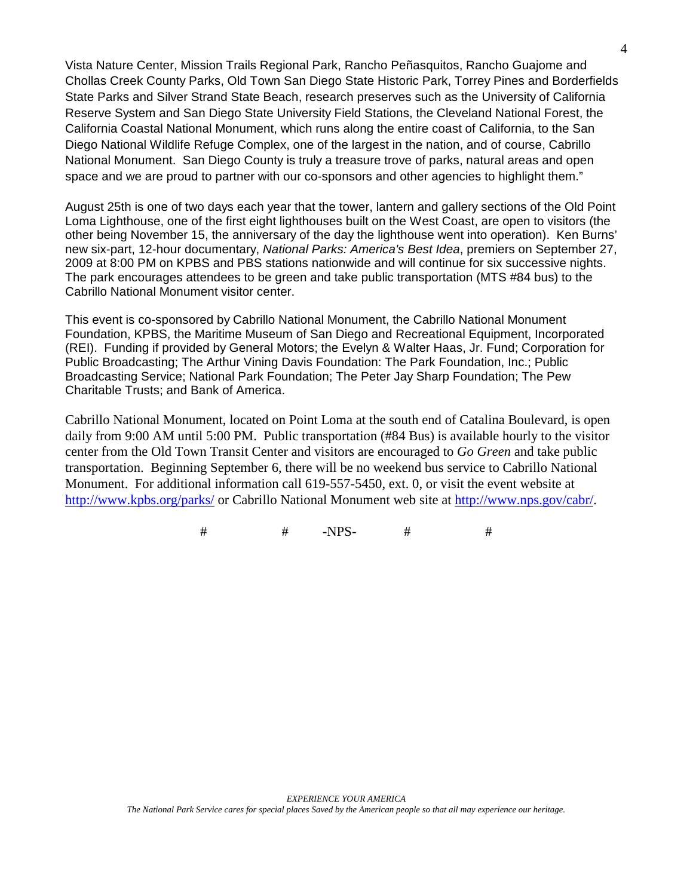Vista Nature Center, Mission Trails Regional Park, Rancho Peñasquitos, Rancho Guajome and Chollas Creek County Parks, Old Town San Diego State Historic Park, Torrey Pines and Borderfields State Parks and Silver Strand State Beach, research preserves such as the University of California Reserve System and San Diego State University Field Stations, the Cleveland National Forest, the California Coastal National Monument, which runs along the entire coast of California, to the San Diego National Wildlife Refuge Complex, one of the largest in the nation, and of course, Cabrillo National Monument. San Diego County is truly a treasure trove of parks, natural areas and open space and we are proud to partner with our co-sponsors and other agencies to highlight them."

August 25th is one of two days each year that the tower, lantern and gallery sections of the Old Point Loma Lighthouse, one of the first eight lighthouses built on the West Coast, are open to visitors (the other being November 15, the anniversary of the day the lighthouse went into operation). Ken Burns' new six-part, 12-hour documentary, National Parks: America's Best Idea, premiers on September 27, 2009 at 8:00 PM on KPBS and PBS stations nationwide and will continue for six successive nights. The park encourages attendees to be green and take public transportation (MTS #84 bus) to the Cabrillo National Monument visitor center.

This event is co-sponsored by Cabrillo National Monument, the Cabrillo National Monument Foundation, KPBS, the Maritime Museum of San Diego and Recreational Equipment, Incorporated (REI). Funding if provided by General Motors; the Evelyn & Walter Haas, Jr. Fund; Corporation for Public Broadcasting; The Arthur Vining Davis Foundation: The Park Foundation, Inc.; Public Broadcasting Service; National Park Foundation; The Peter Jay Sharp Foundation; The Pew Charitable Trusts; and Bank of America.

Cabrillo National Monument, located on Point Loma at the south end of Catalina Boulevard, is open daily from 9:00 AM until 5:00 PM. Public transportation (#84 Bus) is available hourly to the visitor center from the Old Town Transit Center and visitors are encouraged to *Go Green* and take public transportation. Beginning September 6, there will be no weekend bus service to Cabrillo National Monument. For additional information call 619-557-5450, ext. 0, or visit the event website at http://www.kpbs.org/parks/ or Cabrillo National Monument web site at http://www.nps.gov/cabr/.

# # -NPS- # #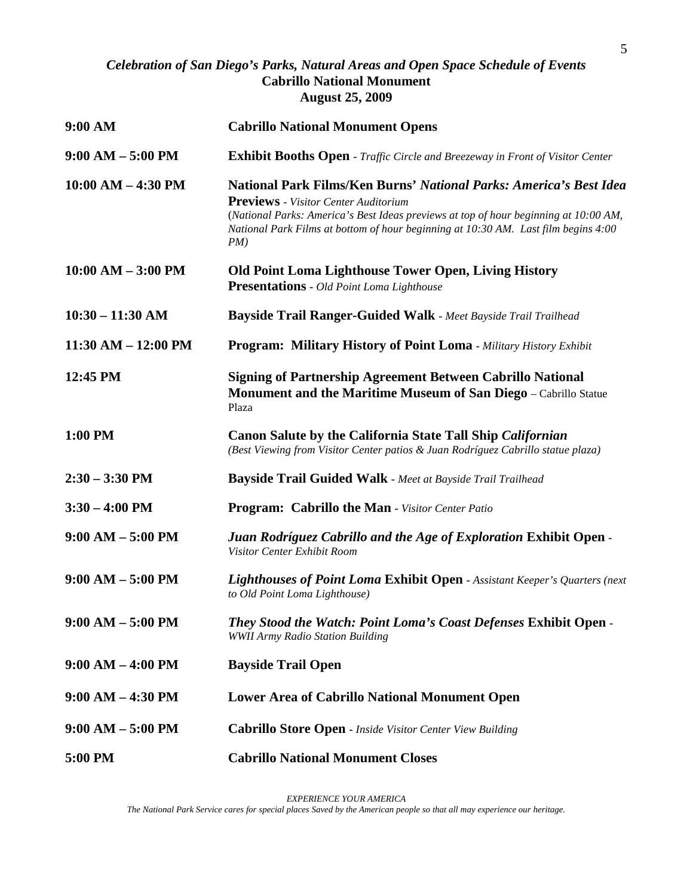## *Celebration of San Diego's Parks, Natural Areas and Open Space Schedule of Events*  **Cabrillo National Monument August 25, 2009**

| 9:00 AM                 | <b>Cabrillo National Monument Opens</b>                                                                                                                                                                                                                                                                |
|-------------------------|--------------------------------------------------------------------------------------------------------------------------------------------------------------------------------------------------------------------------------------------------------------------------------------------------------|
| $9:00 AM - 5:00 PM$     | <b>Exhibit Booths Open - Traffic Circle and Breezeway in Front of Visitor Center</b>                                                                                                                                                                                                                   |
| $10:00 AM - 4:30 PM$    | National Park Films/Ken Burns' National Parks: America's Best Idea<br><b>Previews</b> - Visitor Center Auditorium<br>(National Parks: America's Best Ideas previews at top of hour beginning at 10:00 AM,<br>National Park Films at bottom of hour beginning at 10:30 AM. Last film begins 4:00<br>PM) |
| $10:00$ AM $-$ 3:00 PM  | <b>Old Point Loma Lighthouse Tower Open, Living History</b><br><b>Presentations - Old Point Loma Lighthouse</b>                                                                                                                                                                                        |
| $10:30 - 11:30$ AM      | <b>Bayside Trail Ranger-Guided Walk - Meet Bayside Trail Trailhead</b>                                                                                                                                                                                                                                 |
| $11:30$ AM $- 12:00$ PM | <b>Program: Military History of Point Loma - Military History Exhibit</b>                                                                                                                                                                                                                              |
| 12:45 PM                | <b>Signing of Partnership Agreement Between Cabrillo National</b><br>Monument and the Maritime Museum of San Diego - Cabrillo Statue<br>Plaza                                                                                                                                                          |
| 1:00 PM                 | <b>Canon Salute by the California State Tall Ship Californian</b><br>(Best Viewing from Visitor Center patios & Juan Rodríguez Cabrillo statue plaza)                                                                                                                                                  |
| $2:30 - 3:30$ PM        | Bayside Trail Guided Walk - Meet at Bayside Trail Trailhead                                                                                                                                                                                                                                            |
| $3:30 - 4:00$ PM        | <b>Program: Cabrillo the Man - Visitor Center Patio</b>                                                                                                                                                                                                                                                |
| $9:00 AM - 5:00 PM$     | Juan Rodríguez Cabrillo and the Age of Exploration Exhibit Open -<br>Visitor Center Exhibit Room                                                                                                                                                                                                       |
| $9:00 AM - 5:00 PM$     | Lighthouses of Point Loma Exhibit Open - Assistant Keeper's Quarters (next<br>to Old Point Loma Lighthouse)                                                                                                                                                                                            |
| $9:00 AM - 5:00 PM$     | They Stood the Watch: Point Loma's Coast Defenses Exhibit Open -<br><b>WWII Army Radio Station Building</b>                                                                                                                                                                                            |
| $9:00 AM - 4:00 PM$     | <b>Bayside Trail Open</b>                                                                                                                                                                                                                                                                              |
| $9:00 AM - 4:30 PM$     | <b>Lower Area of Cabrillo National Monument Open</b>                                                                                                                                                                                                                                                   |
| $9:00 AM - 5:00 PM$     | <b>Cabrillo Store Open - Inside Visitor Center View Building</b>                                                                                                                                                                                                                                       |
| 5:00 PM                 | <b>Cabrillo National Monument Closes</b>                                                                                                                                                                                                                                                               |